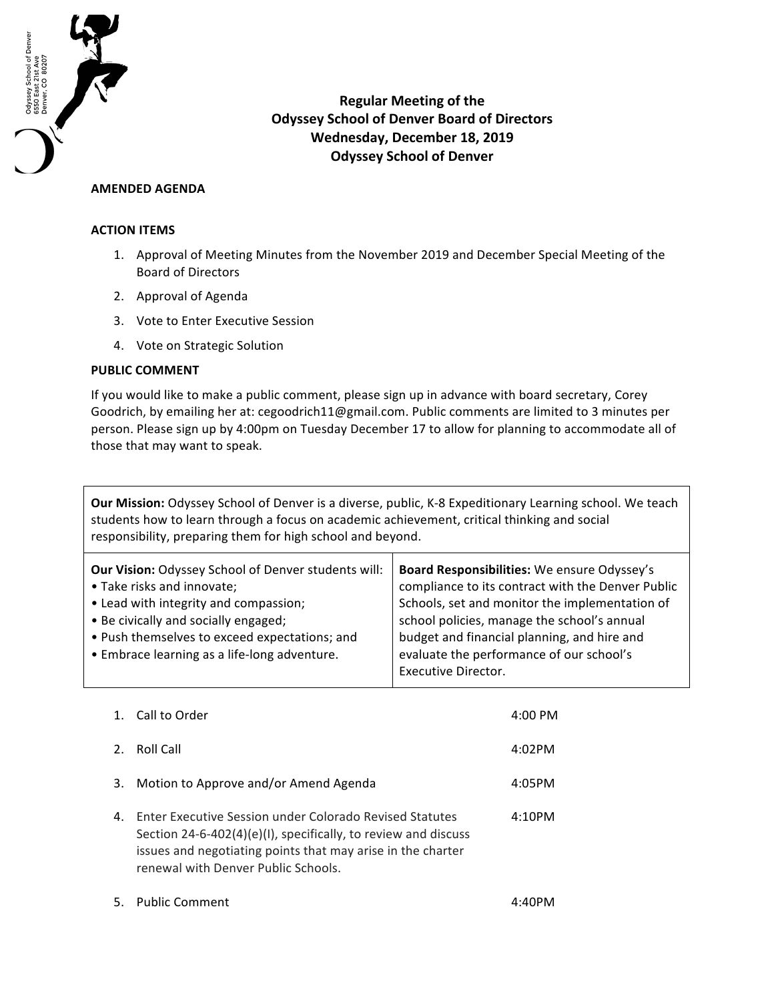

**Regular Meeting of the Odyssey School of Denver Board of Directors** Wednesday, December 18, 2019 **Odyssey School of Denver** 

## **AMENDED AGENDA**

## **ACTION ITEMS**

- 1. Approval of Meeting Minutes from the November 2019 and December Special Meeting of the Board of Directors
- 2. Approval of Agenda
- 3. Vote to Enter Executive Session
- 4. Vote on Strategic Solution

## **PUBLIC COMMENT**

If you would like to make a public comment, please sign up in advance with board secretary, Corey Goodrich, by emailing her at: cegoodrich11@gmail.com. Public comments are limited to 3 minutes per person. Please sign up by 4:00pm on Tuesday December 17 to allow for planning to accommodate all of those that may want to speak.

**Our Mission:** Odyssey School of Denver is a diverse, public, K-8 Expeditionary Learning school. We teach students how to learn through a focus on academic achievement, critical thinking and social responsibility, preparing them for high school and beyond.

| Board Responsibilities: We ensure Odyssey's<br>compliance to its contract with the Denver Public<br>Schools, set and monitor the implementation of<br>school policies, manage the school's annual<br>budget and financial planning, and hire and<br>evaluate the performance of our school's |
|----------------------------------------------------------------------------------------------------------------------------------------------------------------------------------------------------------------------------------------------------------------------------------------------|
| <b>Executive Director.</b>                                                                                                                                                                                                                                                                   |
|                                                                                                                                                                                                                                                                                              |

| 1.            | Call to Order                                                                                                                                                                                                                   | $4:00 \, \text{PM}$ |
|---------------|---------------------------------------------------------------------------------------------------------------------------------------------------------------------------------------------------------------------------------|---------------------|
| $\mathcal{P}$ | Roll Call                                                                                                                                                                                                                       | 4:02PM              |
| 3.            | Motion to Approve and/or Amend Agenda                                                                                                                                                                                           | 4:05PM              |
| 4.            | Enter Executive Session under Colorado Revised Statutes<br>Section 24-6-402(4)(e)(I), specifically, to review and discuss<br>issues and negotiating points that may arise in the charter<br>renewal with Denver Public Schools. | 4:10PM              |
|               | 5. Public Comment                                                                                                                                                                                                               | 4:40PM              |